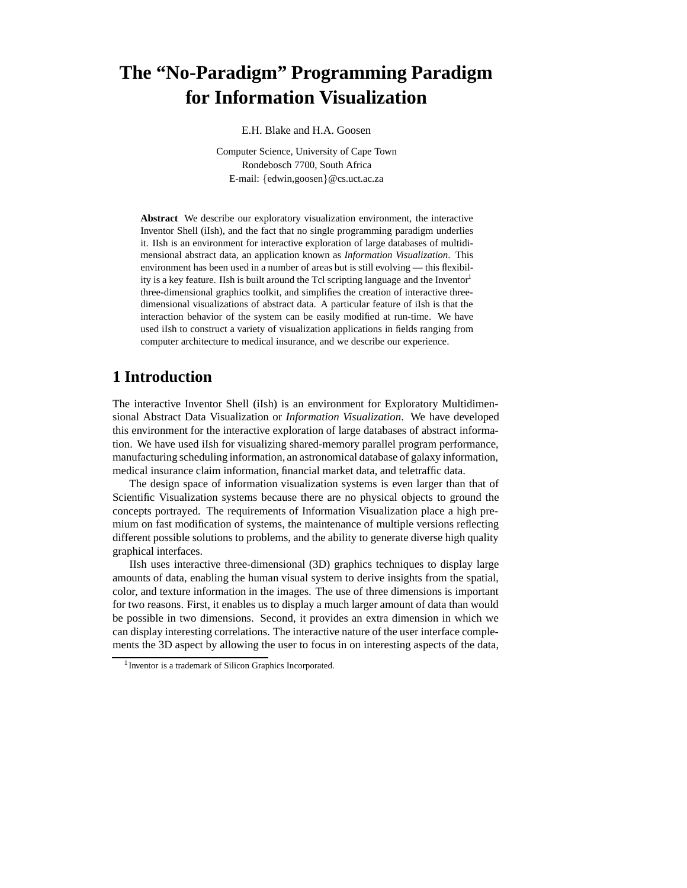# **The "No-Paradigm" Programming Paradigm for Information Visualization**

E.H. Blake and H.A. Goosen

Computer Science, University of Cape Town Rondebosch 7700, South Africa E-mail: *{*edwin,goosen*}*@cs.uct.ac.za

**Abstract** We describe our exploratory visualization environment, the interactive Inventor Shell (iIsh), and the fact that no single programming paradigm underlies it. IIsh is an environment for interactive exploration of large databases of multidimensional abstract data, an application known as *Information Visualization*. This environment has been used in a number of areas but is still evolving — this flexibility is a key feature. IIsh is built around the Tcl scripting language and the Inventorthree-dimensional graphics toolkit, and simplifies the creation of interactive threedimensional visualizations of abstract data. A particular feature of iIsh is that the interaction behavior of the system can be easily modified at run-time. We have used iIsh to construct a variety of visualization applications in fields ranging from computer architecture to medical insurance, and we describe our experience.

# **1 Introduction**

The interactive Inventor Shell (iIsh) is an environment for Exploratory Multidimensional Abstract Data Visualization or *Information Visualization*. We have developed this environment for the interactive exploration of large databases of abstract information. We have used iIsh for visualizing shared-memory parallel program performance, manufacturing scheduling information, an astronomical database of galaxy information, medical insurance claim information, financial market data, and teletraffic data.

The design space of information visualization systems is even larger than that of Scientific Visualization systems because there are no physical objects to ground the concepts portrayed. The requirements of Information Visualization place a high premium on fast modification of systems, the maintenance of multiple versions reflecting different possible solutions to problems, and the ability to generate diverse high quality graphical interfaces.

IIsh uses interactive three-dimensional (3D) graphics techniques to display large amounts of data, enabling the human visual system to derive insights from the spatial, color, and texture information in the images. The use of three dimensions is important for two reasons. First, it enables us to display a much larger amount of data than would be possible in two dimensions. Second, it provides an extra dimension in which we can display interesting correlations. The interactive nature of the user interface complements the 3D aspect by allowing the user to focus in on interesting aspects of the data,

<sup>&</sup>lt;sup>1</sup> Inventor is a trademark of Silicon Graphics Incorporated.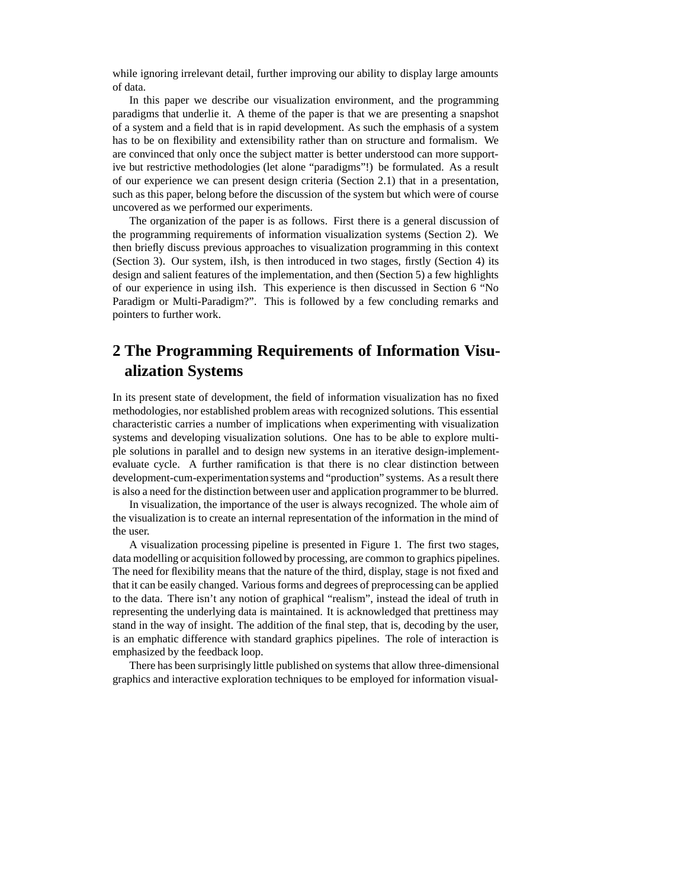while ignoring irrelevant detail, further improving our ability to display large amounts of data.

In this paper we describe our visualization environment, and the programming paradigms that underlie it. A theme of the paper is that we are presenting a snapshot of a system and a field that is in rapid development. As such the emphasis of a system has to be on flexibility and extensibility rather than on structure and formalism. We are convinced that only once the subject matter is better understood can more supportive but restrictive methodologies (let alone "paradigms"!) be formulated. As a result of our experience we can present design criteria (Section 2.1) that in a presentation, such as this paper, belong before the discussion of the system but which were of course uncovered as we performed our experiments.

The organization of the paper is as follows. First there is a general discussion of the programming requirements of information visualization systems (Section 2). We then briefly discuss previous approaches to visualization programming in this context (Section 3). Our system, iIsh, is then introduced in two stages, firstly (Section 4) its design and salient features of the implementation, and then (Section 5) a few highlights of our experience in using iIsh. This experience is then discussed in Section 6 "No Paradigm or Multi-Paradigm?". This is followed by a few concluding remarks and pointers to further work.

# **2 The Programming Requirements of Information Visualization Systems**

In its present state of development, the field of information visualization has no fixed methodologies, nor established problem areas with recognized solutions. This essential characteristic carries a number of implications when experimenting with visualization systems and developing visualization solutions. One has to be able to explore multiple solutions in parallel and to design new systems in an iterative design-implementevaluate cycle. A further ramification is that there is no clear distinction between development-cum-experimentation systems and "production" systems. As a result there is also a need for the distinction between user and application programmer to be blurred.

In visualization, the importance of the user is always recognized. The whole aim of the visualization is to create an internal representation of the information in the mind of the user.

A visualization processing pipeline is presented in Figure 1. The first two stages, data modelling or acquisition followed by processing, are common to graphics pipelines. The need for flexibility means that the nature of the third, display, stage is not fixed and that it can be easily changed. Various forms and degrees of preprocessing can be applied to the data. There isn't any notion of graphical "realism", instead the ideal of truth in representing the underlying data is maintained. It is acknowledged that prettiness may stand in the way of insight. The addition of the final step, that is, decoding by the user, is an emphatic difference with standard graphics pipelines. The role of interaction is emphasized by the feedback loop.

There has been surprisingly little published on systems that allow three-dimensional graphics and interactive exploration techniques to be employed for information visual-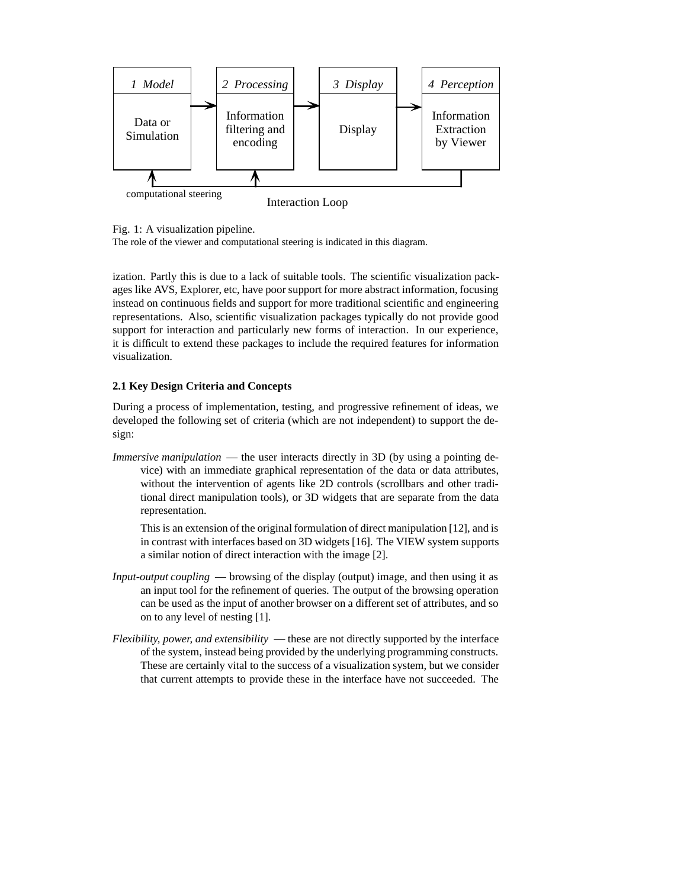

Fig. 1: A visualization pipeline.

The role of the viewer and computational steering is indicated in this diagram.

ization. Partly this is due to a lack of suitable tools. The scientific visualization packages like AVS, Explorer, etc, have poor support for more abstract information, focusing instead on continuous fields and support for more traditional scientific and engineering representations. Also, scientific visualization packages typically do not provide good support for interaction and particularly new forms of interaction. In our experience, it is difficult to extend these packages to include the required features for information visualization.

### **2.1 Key Design Criteria and Concepts**

During a process of implementation, testing, and progressive refinement of ideas, we developed the following set of criteria (which are not independent) to support the design:

*Immersive manipulation* — the user interacts directly in 3D (by using a pointing device) with an immediate graphical representation of the data or data attributes, without the intervention of agents like 2D controls (scrollbars and other traditional direct manipulation tools), or 3D widgets that are separate from the data representation.

This is an extension of the original formulation of direct manipulation [12], and is in contrast with interfaces based on 3D widgets [16]. The VIEW system supports a similar notion of direct interaction with the image [2].

- *Input-output coupling* browsing of the display (output) image, and then using it as an input tool for the refinement of queries. The output of the browsing operation can be used as the input of another browser on a different set of attributes, and so on to any level of nesting [1].
- *Flexibility, power, and extensibility* these are not directly supported by the interface of the system, instead being provided by the underlying programming constructs. These are certainly vital to the success of a visualization system, but we consider that current attempts to provide these in the interface have not succeeded. The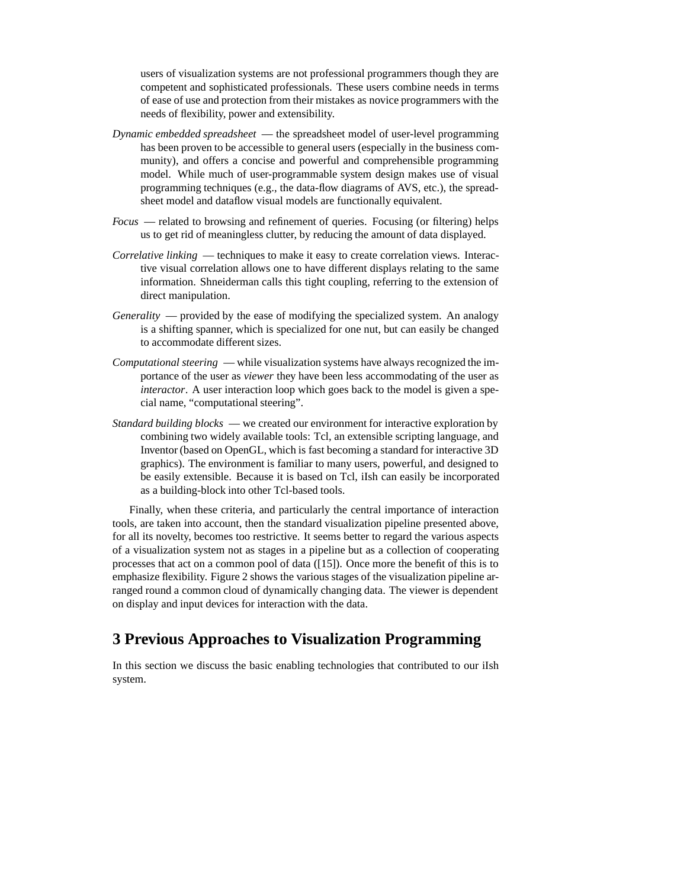users of visualization systems are not professional programmers though they are competent and sophisticated professionals. These users combine needs in terms of ease of use and protection from their mistakes as novice programmers with the needs of flexibility, power and extensibility.

- *Dynamic embedded spreadsheet* the spreadsheet model of user-level programming has been proven to be accessible to general users (especially in the business community), and offers a concise and powerful and comprehensible programming model. While much of user-programmable system design makes use of visual programming techniques (e.g., the data-flow diagrams of AVS, etc.), the spreadsheet model and dataflow visual models are functionally equivalent.
- *Focus* related to browsing and refinement of queries. Focusing (or filtering) helps us to get rid of meaningless clutter, by reducing the amount of data displayed.
- *Correlative linking* techniques to make it easy to create correlation views. Interactive visual correlation allows one to have different displays relating to the same information. Shneiderman calls this tight coupling, referring to the extension of direct manipulation.
- *Generality* provided by the ease of modifying the specialized system. An analogy is a shifting spanner, which is specialized for one nut, but can easily be changed to accommodate different sizes.
- *Computational steering* while visualization systems have always recognized the importance of the user as *viewer* they have been less accommodating of the user as *interactor*. A user interaction loop which goes back to the model is given a special name, "computational steering".
- *Standard building blocks* we created our environment for interactive exploration by combining two widely available tools: Tcl, an extensible scripting language, and Inventor (based on OpenGL, which is fast becoming a standard for interactive 3D graphics). The environment is familiar to many users, powerful, and designed to be easily extensible. Because it is based on Tcl, iIsh can easily be incorporated as a building-block into other Tcl-based tools.

Finally, when these criteria, and particularly the central importance of interaction tools, are taken into account, then the standard visualization pipeline presented above, for all its novelty, becomes too restrictive. It seems better to regard the various aspects of a visualization system not as stages in a pipeline but as a collection of cooperating processes that act on a common pool of data ([15]). Once more the benefit of this is to emphasize flexibility. Figure 2 shows the various stages of the visualization pipeline arranged round a common cloud of dynamically changing data. The viewer is dependent on display and input devices for interaction with the data.

# **3 Previous Approaches to Visualization Programming**

In this section we discuss the basic enabling technologies that contributed to our iIsh system.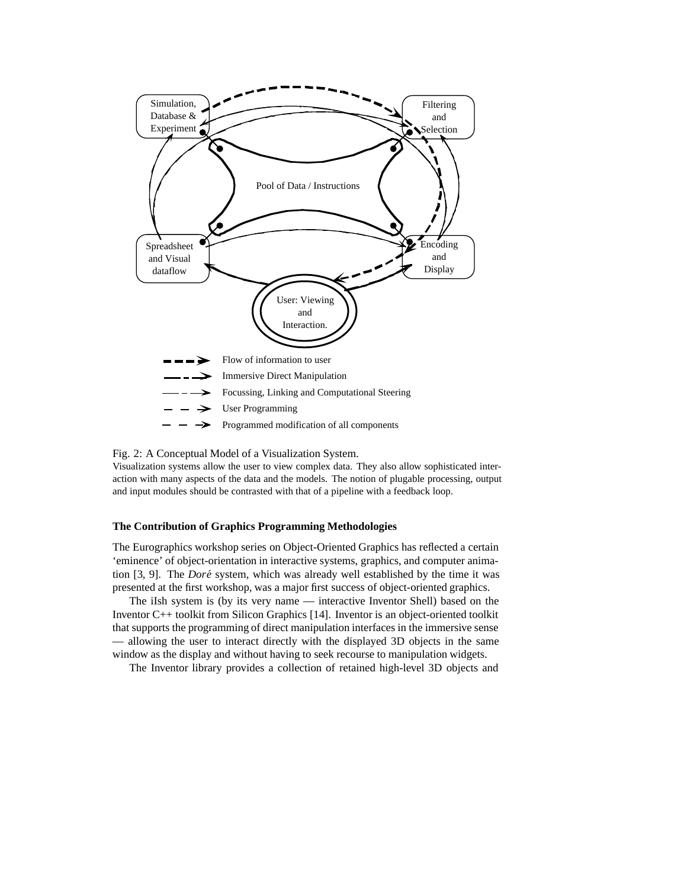

#### Fig. 2: A Conceptual Model of a Visualization System.

Visualization systems allow the user to view complex data. They also allow sophisticated interaction with many aspects of the data and the models. The notion of plugable processing, output and input modules should be contrasted with that of a pipeline with a feedback loop.

#### **The Contribution of Graphics Programming Methodologies**

The Eurographics workshop series on Object-Oriented Graphics has reflected a certain 'eminence' of object-orientation in interactive systems, graphics, and computer animation [3, 9]. The *Doré* system, which was already well established by the time it was presented at the first workshop, was a major first success of object-oriented graphics.

The iIsh system is (by its very name — interactive Inventor Shell) based on the Inventor C++ toolkit from Silicon Graphics [14]. Inventor is an object-oriented toolkit that supports the programming of direct manipulation interfaces in the immersive sense — allowing the user to interact directly with the displayed 3D objects in the same window as the display and without having to seek recourse to manipulation widgets.

The Inventor library provides a collection of retained high-level 3D objects and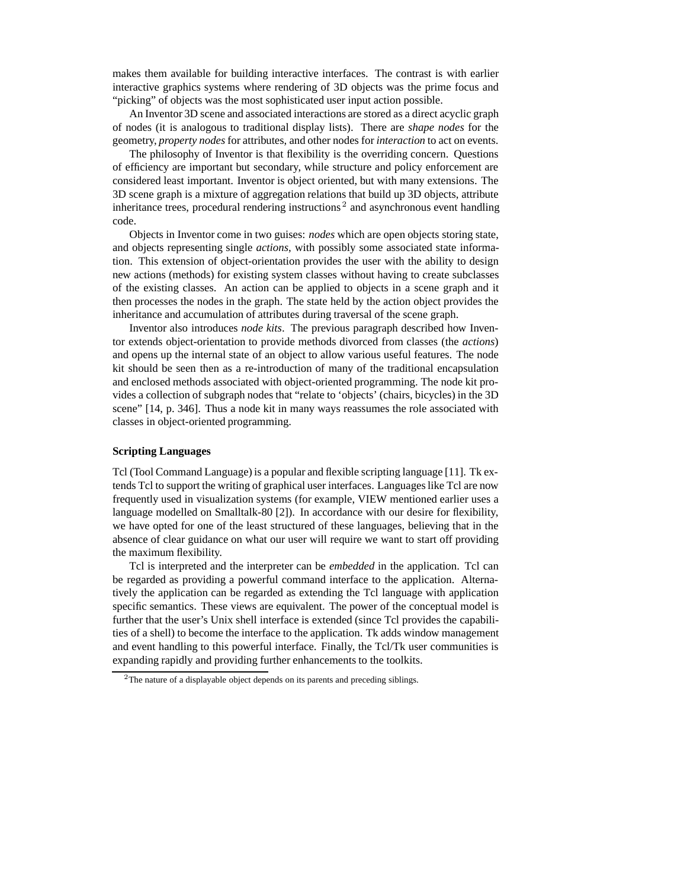makes them available for building interactive interfaces. The contrast is with earlier interactive graphics systems where rendering of 3D objects was the prime focus and "picking" of objects was the most sophisticated user input action possible.

An Inventor 3D scene and associated interactions are stored as a direct acyclic graph of nodes (it is analogous to traditional display lists). There are *shape nodes* for the geometry, *property nodes*for attributes, and other nodes for *interaction* to act on events.

The philosophy of Inventor is that flexibility is the overriding concern. Questions of efficiency are important but secondary, while structure and policy enforcement are considered least important. Inventor is object oriented, but with many extensions. The 3D scene graph is a mixture of aggregation relations that build up 3D objects, attribute inheritance trees, procedural rendering instructions<sup>2</sup> and asynchronous event handling code.

Objects in Inventor come in two guises: *nodes* which are open objects storing state, and objects representing single *actions*, with possibly some associated state information. This extension of object-orientation provides the user with the ability to design new actions (methods) for existing system classes without having to create subclasses of the existing classes. An action can be applied to objects in a scene graph and it then processes the nodes in the graph. The state held by the action object provides the inheritance and accumulation of attributes during traversal of the scene graph.

Inventor also introduces *node kits*. The previous paragraph described how Inventor extends object-orientation to provide methods divorced from classes (the *actions*) and opens up the internal state of an object to allow various useful features. The node kit should be seen then as a re-introduction of many of the traditional encapsulation and enclosed methods associated with object-oriented programming. The node kit provides a collection of subgraph nodes that "relate to 'objects' (chairs, bicycles) in the 3D scene" [14, p. 346]. Thus a node kit in many ways reassumes the role associated with classes in object-oriented programming.

### **Scripting Languages**

Tcl (Tool Command Language) is a popular and flexible scripting language [11]. Tk extends Tcl to support the writing of graphical user interfaces. Languages like Tcl are now frequently used in visualization systems (for example, VIEW mentioned earlier uses a language modelled on Smalltalk-80 [2]). In accordance with our desire for flexibility, we have opted for one of the least structured of these languages, believing that in the absence of clear guidance on what our user will require we want to start off providing the maximum flexibility.

Tcl is interpreted and the interpreter can be *embedded* in the application. Tcl can be regarded as providing a powerful command interface to the application. Alternatively the application can be regarded as extending the Tcl language with application specific semantics. These views are equivalent. The power of the conceptual model is further that the user's Unix shell interface is extended (since Tcl provides the capabilities of a shell) to become the interface to the application. Tk adds window management and event handling to this powerful interface. Finally, the Tcl/Tk user communities is expanding rapidly and providing further enhancements to the toolkits.

<sup>&</sup>lt;sup>2</sup>The nature of a displayable object depends on its parents and preceding siblings.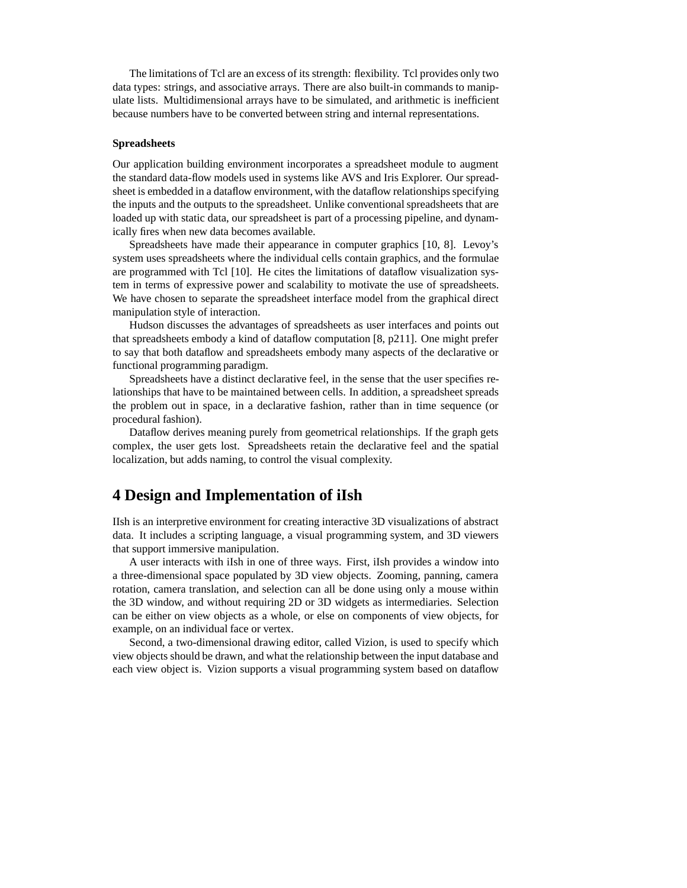The limitations of Tcl are an excess of its strength: flexibility. Tcl provides only two data types: strings, and associative arrays. There are also built-in commands to manipulate lists. Multidimensional arrays have to be simulated, and arithmetic is inefficient because numbers have to be converted between string and internal representations.

#### **Spreadsheets**

Our application building environment incorporates a spreadsheet module to augment the standard data-flow models used in systems like AVS and Iris Explorer. Our spreadsheet is embedded in a dataflow environment, with the dataflow relationships specifying the inputs and the outputs to the spreadsheet. Unlike conventional spreadsheets that are loaded up with static data, our spreadsheet is part of a processing pipeline, and dynamically fires when new data becomes available.

Spreadsheets have made their appearance in computer graphics [10, 8]. Levoy's system uses spreadsheets where the individual cells contain graphics, and the formulae are programmed with Tcl [10]. He cites the limitations of dataflow visualization system in terms of expressive power and scalability to motivate the use of spreadsheets. We have chosen to separate the spreadsheet interface model from the graphical direct manipulation style of interaction.

Hudson discusses the advantages of spreadsheets as user interfaces and points out that spreadsheets embody a kind of dataflow computation [8, p211]. One might prefer to say that both dataflow and spreadsheets embody many aspects of the declarative or functional programming paradigm.

Spreadsheets have a distinct declarative feel, in the sense that the user specifies relationships that have to be maintained between cells. In addition, a spreadsheet spreads the problem out in space, in a declarative fashion, rather than in time sequence (or procedural fashion).

Dataflow derives meaning purely from geometrical relationships. If the graph gets complex, the user gets lost. Spreadsheets retain the declarative feel and the spatial localization, but adds naming, to control the visual complexity.

### **4 Design and Implementation of iIsh**

IIsh is an interpretive environment for creating interactive 3D visualizations of abstract data. It includes a scripting language, a visual programming system, and 3D viewers that support immersive manipulation.

A user interacts with iIsh in one of three ways. First, iIsh provides a window into a three-dimensional space populated by 3D view objects. Zooming, panning, camera rotation, camera translation, and selection can all be done using only a mouse within the 3D window, and without requiring 2D or 3D widgets as intermediaries. Selection can be either on view objects as a whole, or else on components of view objects, for example, on an individual face or vertex.

Second, a two-dimensional drawing editor, called Vizion, is used to specify which view objects should be drawn, and what the relationship between the input database and each view object is. Vizion supports a visual programming system based on dataflow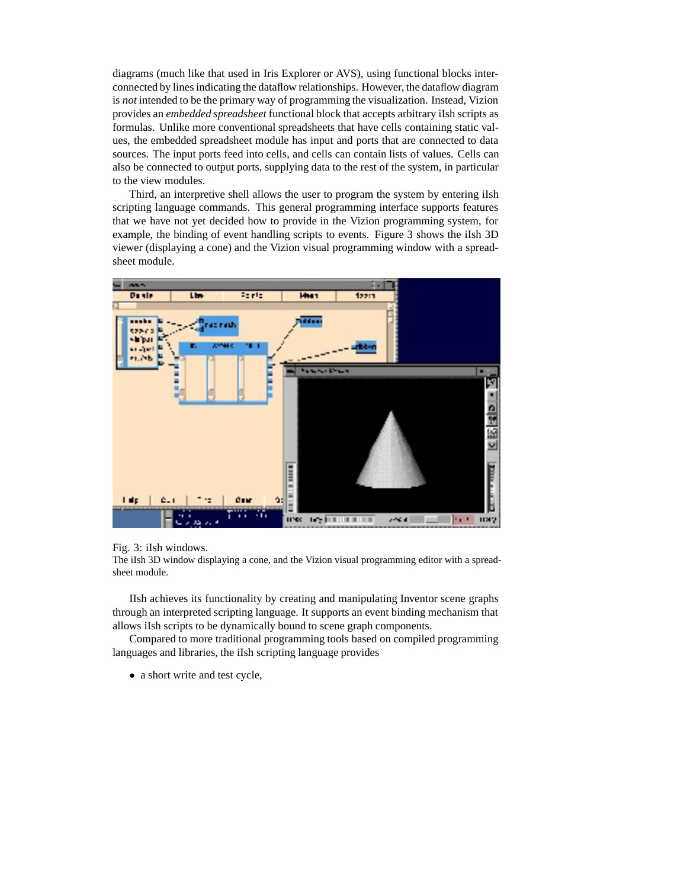diagrams (much like that used in Iris Explorer or AVS), using functional blocks interconnected by lines indicating the dataflow relationships. However, the dataflow diagram is *not* intended to be the primary way of programming the visualization. Instead, Vizion provides an *embedded spreadsheet* functional block that accepts arbitrary iIsh scripts as formulas. Unlike more conventional spreadsheets that have cells containing static values, the embedded spreadsheet module has input and ports that are connected to data sources. The input ports feed into cells, and cells can contain lists of values. Cells can also be connected to output ports, supplying data to the rest of the system, in particular to the view modules.

Third, an interpretive shell allows the user to program the system by entering iIsh scripting language commands. This general programming interface supports features that we have not yet decided how to provide in the Vizion programming system, for example, the binding of event handling scripts to events. Figure 3 shows the iIsh 3D viewer (displaying a cone) and the Vizion visual programming window with a spreadsheet module.



Fig. 3: iIsh windows.

The iIsh 3D window displaying a cone, and the Vizion visual programming editor with a spreadsheet module.

IIsh achieves its functionality by creating and manipulating Inventor scene graphs through an interpreted scripting language. It supports an event binding mechanism that allows iIsh scripts to be dynamically bound to scene graph components.

Compared to more traditional programming tools based on compiled programming languages and libraries, the iIsh scripting language provides

• a short write and test cycle,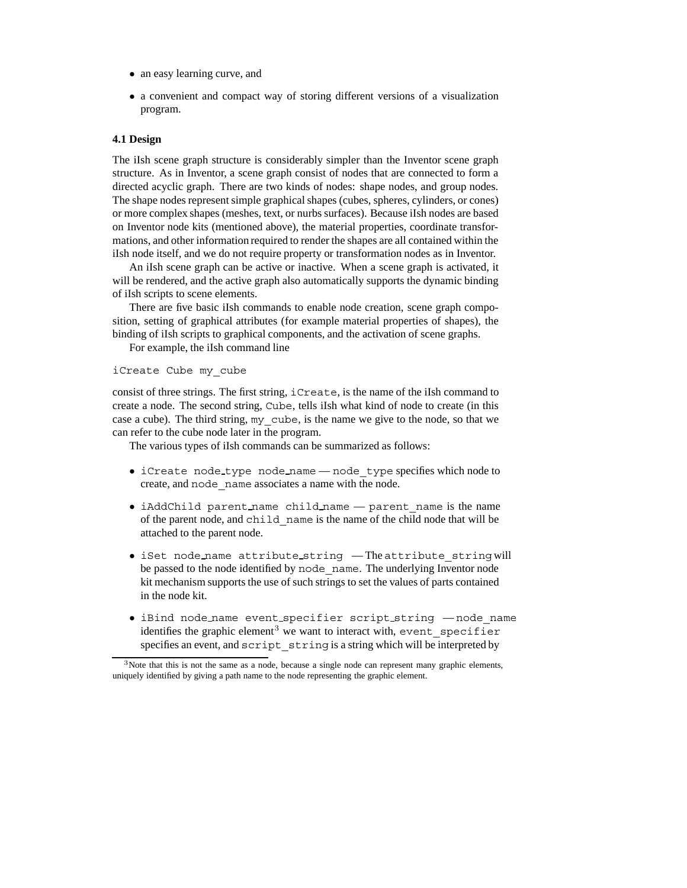- an easy learning curve, and
- *•* a convenient and compact way of storing different versions of a visualization program.

### **4.1 Design**

The iIsh scene graph structure is considerably simpler than the Inventor scene graph structure. As in Inventor, a scene graph consist of nodes that are connected to form a directed acyclic graph. There are two kinds of nodes: shape nodes, and group nodes. The shape nodes represent simple graphical shapes (cubes, spheres, cylinders, or cones) or more complex shapes (meshes, text, or nurbs surfaces). Because iIsh nodes are based on Inventor node kits (mentioned above), the material properties, coordinate transformations, and other information required to render the shapes are all contained within the iIsh node itself, and we do not require property or transformation nodes as in Inventor.

An iIsh scene graph can be active or inactive. When a scene graph is activated, it will be rendered, and the active graph also automatically supports the dynamic binding of iIsh scripts to scene elements.

There are five basic iIsh commands to enable node creation, scene graph composition, setting of graphical attributes (for example material properties of shapes), the binding of iIsh scripts to graphical components, and the activation of scene graphs.

For example, the iIsh command line

### iCreate Cube my\_cube

consist of three strings. The first string, iCreate, is the name of the iIsh command to create a node. The second string, Cube, tells iIsh what kind of node to create (in this case a cube). The third string, my\_cube, is the name we give to the node, so that we can refer to the cube node later in the program.

The various types of iIsh commands can be summarized as follows:

- iCreate node\_type node\_name node type specifies which node to create, and node\_name associates a name with the node.
- iAddChild parent name child name parent name is the name of the parent node, and child\_name is the name of the child node that will be attached to the parent node.
- iSet node\_name attribute\_string -Theattribute string will be passed to the node identified by node name. The underlying Inventor node kit mechanism supports the use of such strings to set the values of parts contained in the node kit.
- iBind node name event specifier script string node name identifies the graphic element<sup>3</sup> we want to interact with, event\_specifier specifies an event, and script\_string is a string which will be interpreted by

<sup>&</sup>lt;sup>3</sup>Note that this is not the same as a node, because a single node can represent many graphic elements, uniquely identified by giving a path name to the node representing the graphic element.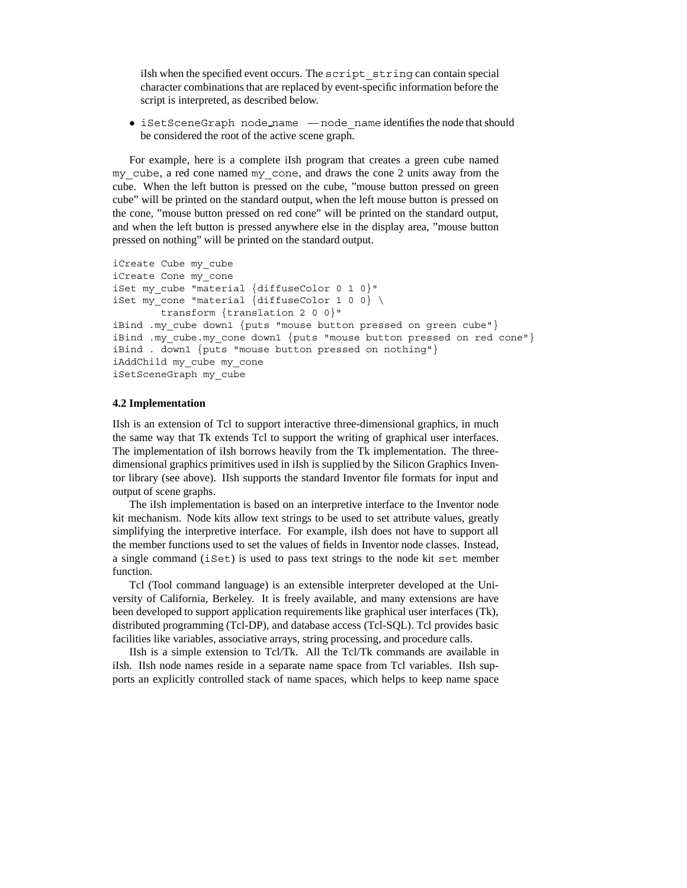iIsh when the specified event occurs. The script\_string can contain special character combinations that are replaced by event-specific information before the script is interpreted, as described below.

• iSetSceneGraph node\_name — node name identifies the node that should be considered the root of the active scene graph.

For example, here is a complete iIsh program that creates a green cube named my cube, a red cone named my cone, and draws the cone 2 units away from the cube. When the left button is pressed on the cube, "mouse button pressed on green cube" will be printed on the standard output, when the left mouse button is pressed on the cone, "mouse button pressed on red cone" will be printed on the standard output, and when the left button is pressed anywhere else in the display area, "mouse button pressed on nothing" will be printed on the standard output.

```
iCreate Cube my_cube
iCreate Cone my_cone
iSet my cube "material {diffuseColor 0 1 0}"
iSet my cone "material {diffuseColor 1 0 0} \
        transform {translation 2 0 0}"
iBind .my_cube down1 {puts "mouse button pressed on green cube"}
iBind .my cube.my cone down1 {puts "mouse button pressed on red cone"}
iBind . down1 {puts "mouse button pressed on nothing"}
iAddChild my_cube my_cone
iSetSceneGraph my_cube
```
#### **4.2 Implementation**

IIsh is an extension of Tcl to support interactive three-dimensional graphics, in much the same way that Tk extends Tcl to support the writing of graphical user interfaces. The implementation of iIsh borrows heavily from the Tk implementation. The threedimensional graphics primitives used in iIsh is supplied by the Silicon Graphics Inventor library (see above). IIsh supports the standard Inventor file formats for input and output of scene graphs.

The iIsh implementation is based on an interpretive interface to the Inventor node kit mechanism. Node kits allow text strings to be used to set attribute values, greatly simplifying the interpretive interface. For example, iIsh does not have to support all the member functions used to set the values of fields in Inventor node classes. Instead, a single command (iSet) is used to pass text strings to the node kit set member function.

Tcl (Tool command language) is an extensible interpreter developed at the University of California, Berkeley. It is freely available, and many extensions are have been developed to support application requirements like graphical user interfaces (Tk), distributed programming (Tcl-DP), and database access (Tcl-SQL). Tcl provides basic facilities like variables, associative arrays, string processing, and procedure calls.

IIsh is a simple extension to Tcl/Tk. All the Tcl/Tk commands are available in iIsh. IIsh node names reside in a separate name space from Tcl variables. IIsh supports an explicitly controlled stack of name spaces, which helps to keep name space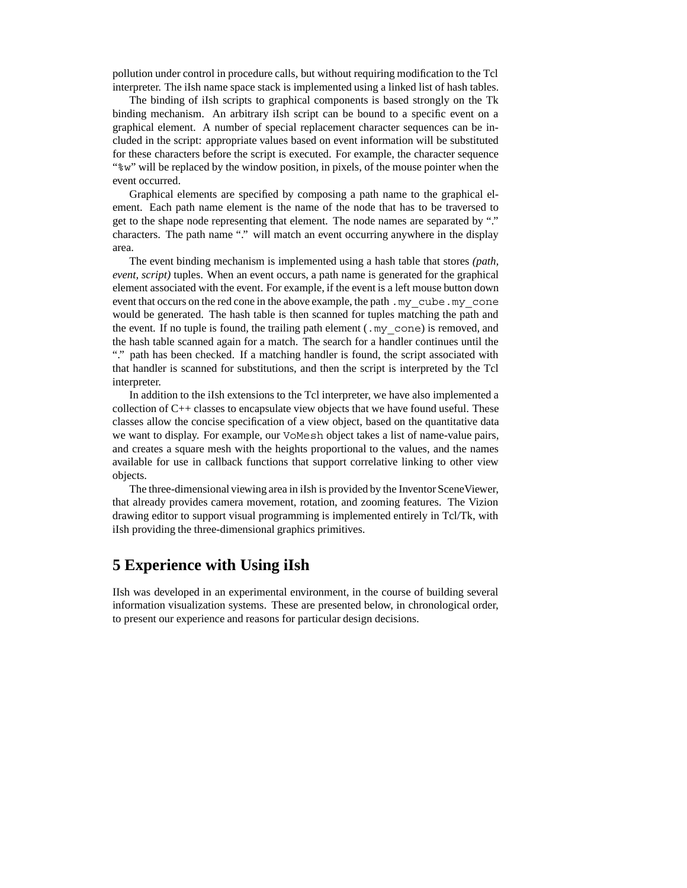pollution under control in procedure calls, but without requiring modification to the Tcl interpreter. The iIsh name space stack is implemented using a linked list of hash tables.

The binding of iIsh scripts to graphical components is based strongly on the Tk binding mechanism. An arbitrary iIsh script can be bound to a specific event on a graphical element. A number of special replacement character sequences can be included in the script: appropriate values based on event information will be substituted for these characters before the script is executed. For example, the character sequence "%w" will be replaced by the window position, in pixels, of the mouse pointer when the event occurred.

Graphical elements are specified by composing a path name to the graphical element. Each path name element is the name of the node that has to be traversed to get to the shape node representing that element. The node names are separated by "." characters. The path name "." will match an event occurring anywhere in the display area.

The event binding mechanism is implemented using a hash table that stores *(path, event, script)* tuples. When an event occurs, a path name is generated for the graphical element associated with the event. For example, if the event is a left mouse button down event that occurs on the red cone in the above example, the path . my\_cube.my\_cone would be generated. The hash table is then scanned for tuples matching the path and the event. If no tuple is found, the trailing path element ( $my$  cone) is removed, and the hash table scanned again for a match. The search for a handler continues until the "." path has been checked. If a matching handler is found, the script associated with that handler is scanned for substitutions, and then the script is interpreted by the Tcl interpreter.

In addition to the iIsh extensions to the Tcl interpreter, we have also implemented a collection of  $C_{++}$  classes to encapsulate view objects that we have found useful. These classes allow the concise specification of a view object, based on the quantitative data we want to display. For example, our VoMesh object takes a list of name-value pairs, and creates a square mesh with the heights proportional to the values, and the names available for use in callback functions that support correlative linking to other view objects.

The three-dimensional viewing area in iIsh is provided by the Inventor SceneViewer, that already provides camera movement, rotation, and zooming features. The Vizion drawing editor to support visual programming is implemented entirely in Tcl/Tk, with iIsh providing the three-dimensional graphics primitives.

# **5 Experience with Using iIsh**

IIsh was developed in an experimental environment, in the course of building several information visualization systems. These are presented below, in chronological order, to present our experience and reasons for particular design decisions.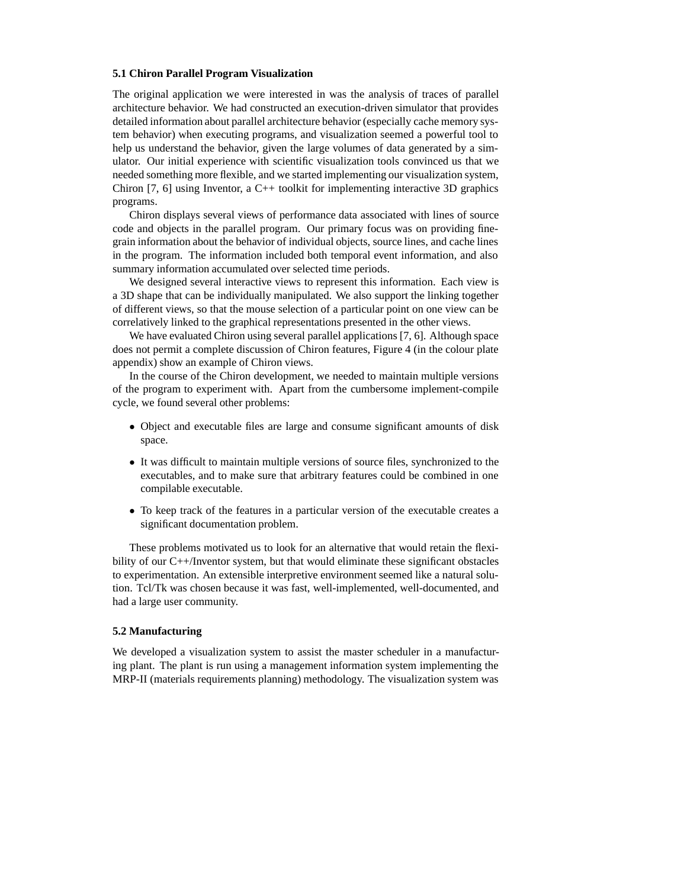#### **5.1 Chiron Parallel Program Visualization**

The original application we were interested in was the analysis of traces of parallel architecture behavior. We had constructed an execution-driven simulator that provides detailed information about parallel architecture behavior (especially cache memory system behavior) when executing programs, and visualization seemed a powerful tool to help us understand the behavior, given the large volumes of data generated by a simulator. Our initial experience with scientific visualization tools convinced us that we needed something more flexible, and we started implementing our visualization system, Chiron [7, 6] using Inventor, a  $C_{++}$  toolkit for implementing interactive 3D graphics programs.

Chiron displays several views of performance data associated with lines of source code and objects in the parallel program. Our primary focus was on providing finegrain information about the behavior of individual objects, source lines, and cache lines in the program. The information included both temporal event information, and also summary information accumulated over selected time periods.

We designed several interactive views to represent this information. Each view is a 3D shape that can be individually manipulated. We also support the linking together of different views, so that the mouse selection of a particular point on one view can be correlatively linked to the graphical representations presented in the other views.

We have evaluated Chiron using several parallel applications [7, 6]. Although space does not permit a complete discussion of Chiron features, Figure 4 (in the colour plate appendix) show an example of Chiron views.

In the course of the Chiron development, we needed to maintain multiple versions of the program to experiment with. Apart from the cumbersome implement-compile cycle, we found several other problems:

- Object and executable files are large and consume significant amounts of disk space.
- *•* It was difficult to maintain multiple versions of source files, synchronized to the executables, and to make sure that arbitrary features could be combined in one compilable executable.
- *•* To keep track of the features in a particular version of the executable creates a significant documentation problem.

These problems motivated us to look for an alternative that would retain the flexibility of our C++/Inventor system, but that would eliminate these significant obstacles to experimentation. An extensible interpretive environment seemed like a natural solution. Tcl/Tk was chosen because it was fast, well-implemented, well-documented, and had a large user community.

#### **5.2 Manufacturing**

We developed a visualization system to assist the master scheduler in a manufacturing plant. The plant is run using a management information system implementing the MRP-II (materials requirements planning) methodology. The visualization system was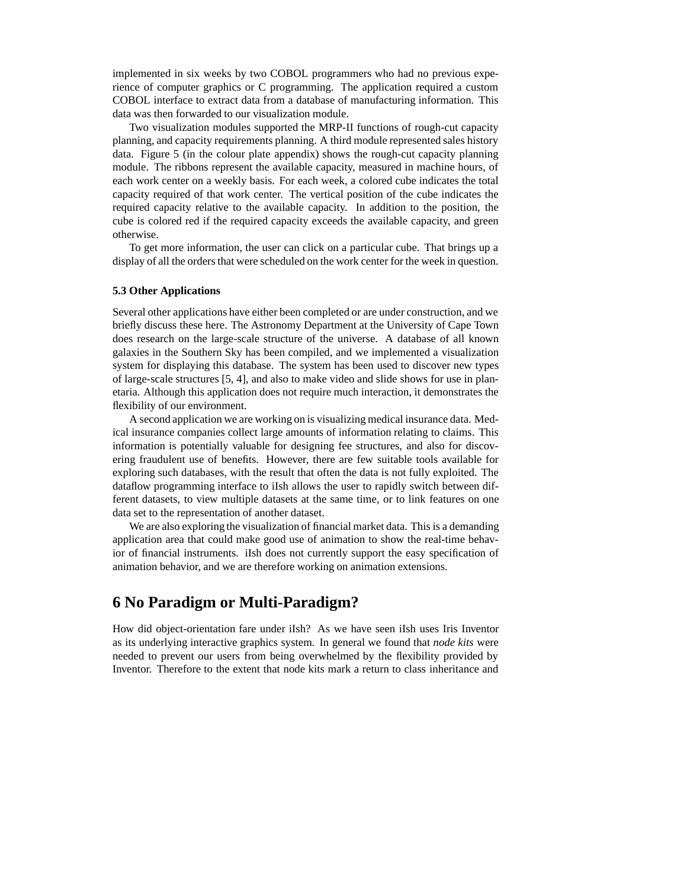implemented in six weeks by two COBOL programmers who had no previous experience of computer graphics or C programming. The application required a custom COBOL interface to extract data from a database of manufacturing information. This data was then forwarded to our visualization module.

Two visualization modules supported the MRP-II functions of rough-cut capacity planning, and capacity requirements planning. A third module represented sales history data. Figure 5 (in the colour plate appendix) shows the rough-cut capacity planning module. The ribbons represent the available capacity, measured in machine hours, of each work center on a weekly basis. For each week, a colored cube indicates the total capacity required of that work center. The vertical position of the cube indicates the required capacity relative to the available capacity. In addition to the position, the cube is colored red if the required capacity exceeds the available capacity, and green otherwise.

To get more information, the user can click on a particular cube. That brings up a display of all the orders that were scheduled on the work center for the week in question.

#### **5.3 Other Applications**

Several other applications have either been completed or are under construction, and we briefly discuss these here. The Astronomy Department at the University of Cape Town does research on the large-scale structure of the universe. A database of all known galaxies in the Southern Sky has been compiled, and we implemented a visualization system for displaying this database. The system has been used to discover new types of large-scale structures [5, 4], and also to make video and slide shows for use in planetaria. Although this application does not require much interaction, it demonstrates the flexibility of our environment.

A second application we are working on is visualizing medical insurance data. Medical insurance companies collect large amounts of information relating to claims. This information is potentially valuable for designing fee structures, and also for discovering fraudulent use of benefits. However, there are few suitable tools available for exploring such databases, with the result that often the data is not fully exploited. The dataflow programming interface to iIsh allows the user to rapidly switch between different datasets, to view multiple datasets at the same time, or to link features on one data set to the representation of another dataset.

We are also exploring the visualization of financial market data. This is a demanding application area that could make good use of animation to show the real-time behavior of financial instruments. iIsh does not currently support the easy specification of animation behavior, and we are therefore working on animation extensions.

# **6 No Paradigm or Multi-Paradigm?**

How did object-orientation fare under iIsh? As we have seen iIsh uses Iris Inventor as its underlying interactive graphics system. In general we found that *node kits* were needed to prevent our users from being overwhelmed by the flexibility provided by Inventor. Therefore to the extent that node kits mark a return to class inheritance and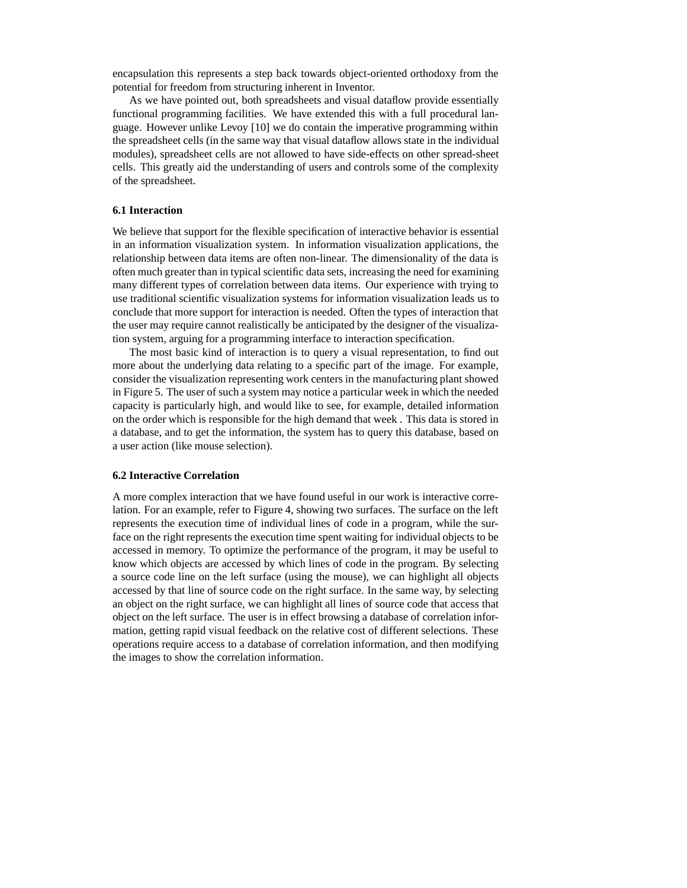encapsulation this represents a step back towards object-oriented orthodoxy from the potential for freedom from structuring inherent in Inventor.

As we have pointed out, both spreadsheets and visual dataflow provide essentially functional programming facilities. We have extended this with a full procedural language. However unlike Levoy [10] we do contain the imperative programming within the spreadsheet cells (in the same way that visual dataflow allows state in the individual modules), spreadsheet cells are not allowed to have side-effects on other spread-sheet cells. This greatly aid the understanding of users and controls some of the complexity of the spreadsheet.

### **6.1 Interaction**

We believe that support for the flexible specification of interactive behavior is essential in an information visualization system. In information visualization applications, the relationship between data items are often non-linear. The dimensionality of the data is often much greater than in typical scientific data sets, increasing the need for examining many different types of correlation between data items. Our experience with trying to use traditional scientific visualization systems for information visualization leads us to conclude that more support for interaction is needed. Often the types of interaction that the user may require cannot realistically be anticipated by the designer of the visualization system, arguing for a programming interface to interaction specification.

The most basic kind of interaction is to query a visual representation, to find out more about the underlying data relating to a specific part of the image. For example, consider the visualization representing work centers in the manufacturing plant showed in Figure 5. The user of such a system may notice a particular week in which the needed capacity is particularly high, and would like to see, for example, detailed information on the order which is responsible for the high demand that week . This data is stored in a database, and to get the information, the system has to query this database, based on a user action (like mouse selection).

#### **6.2 Interactive Correlation**

A more complex interaction that we have found useful in our work is interactive correlation. For an example, refer to Figure 4, showing two surfaces. The surface on the left represents the execution time of individual lines of code in a program, while the surface on the right represents the execution time spent waiting for individual objects to be accessed in memory. To optimize the performance of the program, it may be useful to know which objects are accessed by which lines of code in the program. By selecting a source code line on the left surface (using the mouse), we can highlight all objects accessed by that line of source code on the right surface. In the same way, by selecting an object on the right surface, we can highlight all lines of source code that access that object on the left surface. The user is in effect browsing a database of correlation information, getting rapid visual feedback on the relative cost of different selections. These operations require access to a database of correlation information, and then modifying the images to show the correlation information.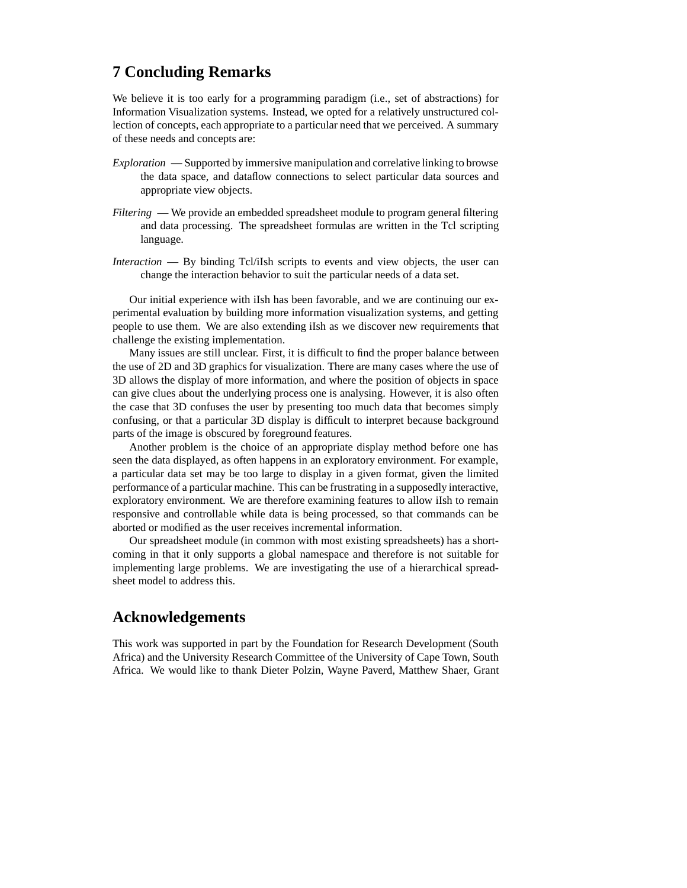# **7 Concluding Remarks**

We believe it is too early for a programming paradigm (i.e., set of abstractions) for Information Visualization systems. Instead, we opted for a relatively unstructured collection of concepts, each appropriate to a particular need that we perceived. A summary of these needs and concepts are:

- *Exploration* Supported by immersive manipulation and correlative linking to browse the data space, and dataflow connections to select particular data sources and appropriate view objects.
- *Filtering* We provide an embedded spreadsheet module to program general filtering and data processing. The spreadsheet formulas are written in the Tcl scripting language.
- *Interaction* By binding Tcl/iIsh scripts to events and view objects, the user can change the interaction behavior to suit the particular needs of a data set.

Our initial experience with iIsh has been favorable, and we are continuing our experimental evaluation by building more information visualization systems, and getting people to use them. We are also extending iIsh as we discover new requirements that challenge the existing implementation.

Many issues are still unclear. First, it is difficult to find the proper balance between the use of 2D and 3D graphics for visualization. There are many cases where the use of 3D allows the display of more information, and where the position of objects in space can give clues about the underlying process one is analysing. However, it is also often the case that 3D confuses the user by presenting too much data that becomes simply confusing, or that a particular 3D display is difficult to interpret because background parts of the image is obscured by foreground features.

Another problem is the choice of an appropriate display method before one has seen the data displayed, as often happens in an exploratory environment. For example, a particular data set may be too large to display in a given format, given the limited performance of a particular machine. This can be frustrating in a supposedly interactive, exploratory environment. We are therefore examining features to allow iIsh to remain responsive and controllable while data is being processed, so that commands can be aborted or modified as the user receives incremental information.

Our spreadsheet module (in common with most existing spreadsheets) has a shortcoming in that it only supports a global namespace and therefore is not suitable for implementing large problems. We are investigating the use of a hierarchical spreadsheet model to address this.

### **Acknowledgements**

This work was supported in part by the Foundation for Research Development (South Africa) and the University Research Committee of the University of Cape Town, South Africa. We would like to thank Dieter Polzin, Wayne Paverd, Matthew Shaer, Grant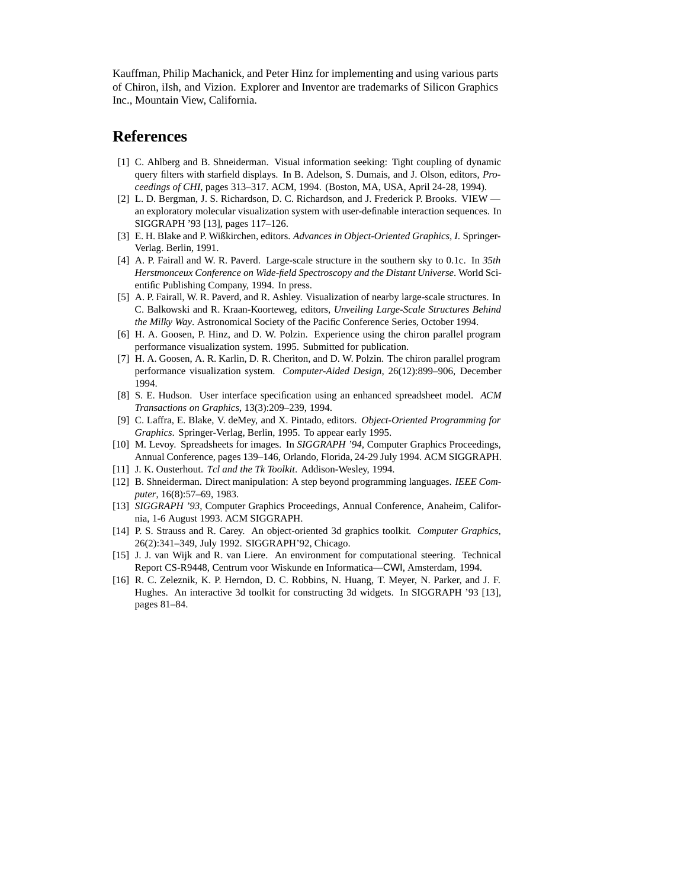Kauffman, Philip Machanick, and Peter Hinz for implementing and using various parts of Chiron, iIsh, and Vizion. Explorer and Inventor are trademarks of Silicon Graphics Inc., Mountain View, California.

# **References**

- [1] C. Ahlberg and B. Shneiderman. Visual information seeking: Tight coupling of dynamic query filters with starfield displays. In B. Adelson, S. Dumais, and J. Olson, editors, *Proceedings of CHI*, pages 313–317. ACM, 1994. (Boston, MA, USA, April 24-28, 1994).
- [2] L. D. Bergman, J. S. Richardson, D. C. Richardson, and J. Frederick P. Brooks. VIEW an exploratory molecular visualization system with user-definable interaction sequences. In SIGGRAPH '93 [13], pages 117–126.
- [3] E. H. Blake and P. Wißkirchen, editors. *Advances in Object-Oriented Graphics, I*. Springer-Verlag. Berlin, 1991.
- [4] A. P. Fairall and W. R. Paverd. Large-scale structure in the southern sky to 0.1c. In *35th Herstmonceux Conference on Wide-field Spectroscopy and the Distant Universe*. World Scientific Publishing Company, 1994. In press.
- [5] A. P. Fairall, W. R. Paverd, and R. Ashley. Visualization of nearby large-scale structures. In C. Balkowski and R. Kraan-Koorteweg, editors, *Unveiling Large-Scale Structures Behind the Milky Way*. Astronomical Society of the Pacific Conference Series, October 1994.
- [6] H. A. Goosen, P. Hinz, and D. W. Polzin. Experience using the chiron parallel program performance visualization system. 1995. Submitted for publication.
- [7] H. A. Goosen, A. R. Karlin, D. R. Cheriton, and D. W. Polzin. The chiron parallel program performance visualization system. *Computer-Aided Design*, 26(12):899–906, December 1994.
- [8] S. E. Hudson. User interface specification using an enhanced spreadsheet model. *ACM Transactions on Graphics*, 13(3):209–239, 1994.
- [9] C. Laffra, E. Blake, V. deMey, and X. Pintado, editors. *Object-Oriented Programming for Graphics*. Springer-Verlag, Berlin, 1995. To appear early 1995.
- [10] M. Levoy. Spreadsheets for images. In *SIGGRAPH '94*, Computer Graphics Proceedings, Annual Conference, pages 139–146, Orlando, Florida, 24-29 July 1994. ACM SIGGRAPH.
- [11] J. K. Ousterhout. *Tcl and the Tk Toolkit*. Addison-Wesley, 1994.
- [12] B. Shneiderman. Direct manipulation: A step beyond programming languages. *IEEE Computer*, 16(8):57–69, 1983.
- [13] *SIGGRAPH '93*, Computer Graphics Proceedings, Annual Conference, Anaheim, California, 1-6 August 1993. ACM SIGGRAPH.
- [14] P. S. Strauss and R. Carey. An object-oriented 3d graphics toolkit. *Computer Graphics*, 26(2):341–349, July 1992. SIGGRAPH'92, Chicago.
- [15] J. J. van Wijk and R. van Liere. An environment for computational steering. Technical Report CS-R9448, Centrum voor Wiskunde en Informatica—CWI, Amsterdam, 1994.
- [16] R. C. Zeleznik, K. P. Herndon, D. C. Robbins, N. Huang, T. Meyer, N. Parker, and J. F. Hughes. An interactive 3d toolkit for constructing 3d widgets. In SIGGRAPH '93 [13], pages 81–84.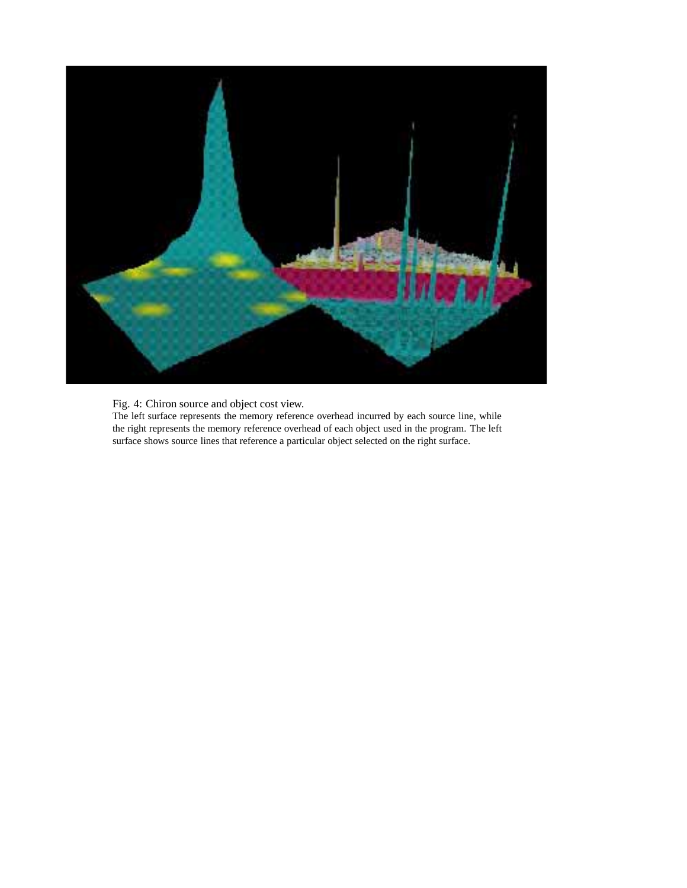

Fig. 4: Chiron source and object cost view.

The left surface represents the memory reference overhead incurred by each source line, while the right represents the memory reference overhead of each object used in the program. The left surface shows source lines that reference a particular object selected on the right surface.